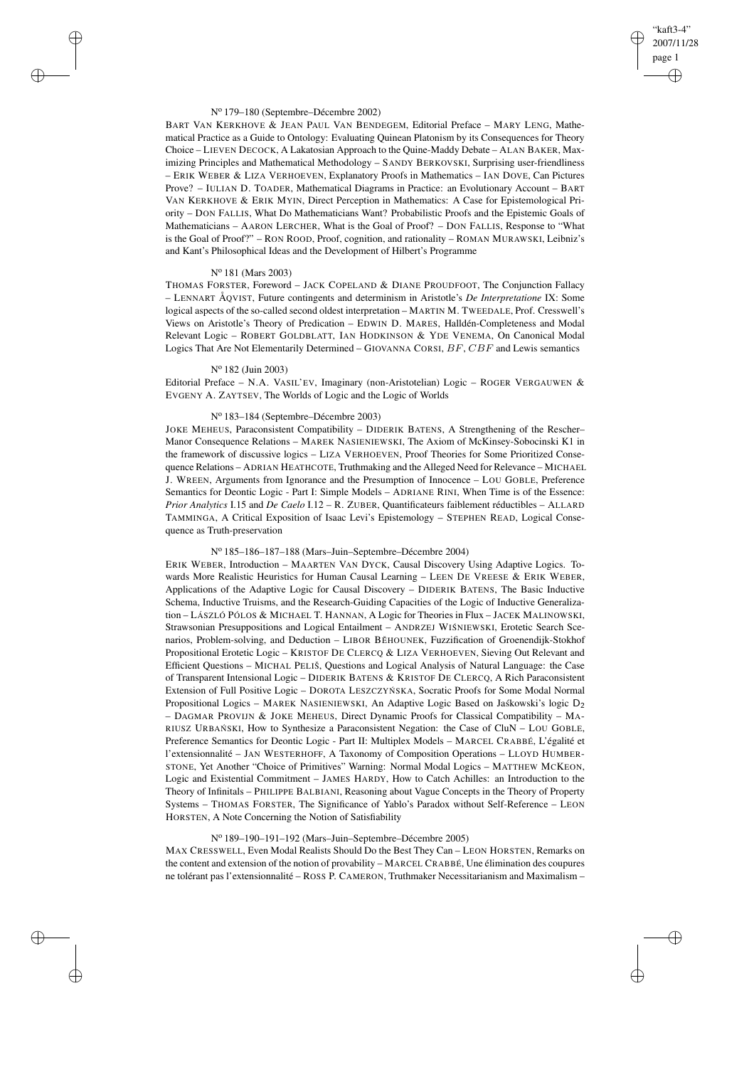## "kaft3-4" 2007/11/28 page 1 ✐ ✐

✐

✐

#### N<sup>o</sup> 179–180 (Septembre–Décembre 2002)

BART VAN KERKHOVE & JEAN PAUL VAN BENDEGEM, Editorial Preface – MARY LENG, Mathematical Practice as a Guide to Ontology: Evaluating Quinean Platonism by its Consequences for Theory Choice – LIEVEN DECOCK, A Lakatosian Approach to the Quine-Maddy Debate – ALAN BAKER, Maximizing Principles and Mathematical Methodology – SANDY BERKOVSKI, Surprising user-friendliness – ERIK WEBER & LIZA VERHOEVEN, Explanatory Proofs in Mathematics – IAN DOVE, Can Pictures Prove? – IULIAN D. TOADER, Mathematical Diagrams in Practice: an Evolutionary Account – BART VAN KERKHOVE & ERIK MYIN, Direct Perception in Mathematics: A Case for Epistemological Priority – DON FALLIS, What Do Mathematicians Want? Probabilistic Proofs and the Epistemic Goals of Mathematicians – AARON LERCHER, What is the Goal of Proof? – DON FALLIS, Response to "What is the Goal of Proof?" – RON ROOD, Proof, cognition, and rationality – ROMAN MURAWSKI, Leibniz's and Kant's Philosophical Ideas and the Development of Hilbert's Programme

## N<sup>o</sup> 181 (Mars 2003)

✐

✐

✐

✐

THOMAS FORSTER, Foreword – JACK COPELAND & DIANE PROUDFOOT, The Conjunction Fallacy – LENNART ÅQVIST, Future contingents and determinism in Aristotle's *De Interpretatione* IX: Some logical aspects of the so-called second oldest interpretation – MARTIN M. TWEEDALE, Prof. Cresswell's Views on Aristotle's Theory of Predication – EDWIN D. MARES, Halldén-Completeness and Modal Relevant Logic – ROBERT GOLDBLATT, IAN HODKINSON & YDE VENEMA, On Canonical Modal Logics That Are Not Elementarily Determined – GIOVANNA CORSI,  $BF$ ,  $CBF$  and Lewis semantics

### N<sup>o</sup> 182 (Juin 2003)

Editorial Preface – N.A. VASIL'EV, Imaginary (non-Aristotelian) Logic – ROGER VERGAUWEN & EVGENY A. ZAYTSEV, The Worlds of Logic and the Logic of Worlds

#### N<sup>o</sup> 183–184 (Septembre–Décembre 2003)

JOKE MEHEUS, Paraconsistent Compatibility – DIDERIK BATENS, A Strengthening of the Rescher– Manor Consequence Relations – MAREK NASIENIEWSKI, The Axiom of McKinsey-Sobocinski K1 in the framework of discussive logics – LIZA VERHOEVEN, Proof Theories for Some Prioritized Consequence Relations – ADRIAN HEATHCOTE, Truthmaking and the Alleged Need for Relevance – MICHAEL J. WREEN, Arguments from Ignorance and the Presumption of Innocence – LOU GOBLE, Preference Semantics for Deontic Logic - Part I: Simple Models – ADRIANE RINI, When Time is of the Essence: *Prior Analytics* I.15 and *De Caelo* I.12 – R. ZUBER, Quantificateurs faiblement réductibles – ALLARD TAMMINGA, A Critical Exposition of Isaac Levi's Epistemology – STEPHEN READ, Logical Consequence as Truth-preservation

### N<sup>o</sup> 185–186–187–188 (Mars–Juin–Septembre–Décembre 2004)

ERIK WEBER, Introduction – MAARTEN VAN DYCK, Causal Discovery Using Adaptive Logics. Towards More Realistic Heuristics for Human Causal Learning – LEEN DE VREESE & ERIK WEBER, Applications of the Adaptive Logic for Causal Discovery – DIDERIK BATENS, The Basic Inductive Schema, Inductive Truisms, and the Research-Guiding Capacities of the Logic of Inductive Generalization – LÁSZLÓ PÓLOS & MICHAEL T. HANNAN, A Logic for Theories in Flux – JACEK MALINOWSKI, Strawsonian Presuppositions and Logical Entailment - ANDRZEJ WIŚNIEWSKI, Erotetic Search Scenarios, Problem-solving, and Deduction – LIBOR BĚHOUNEK, Fuzzification of Groenendijk-Stokhof Propositional Erotetic Logic – KRISTOF DE CLERCQ & LIZA VERHOEVEN, Sieving Out Relevant and Efficient Questions – MICHAL PELIŠ, Questions and Logical Analysis of Natural Language: the Case of Transparent Intensional Logic – DIDERIK BATENS & KRISTOF DE CLERCQ, A Rich Paraconsistent Extension of Full Positive Logic – DOROTA LESZCZYŃ SKA, Socratic Proofs for Some Modal Normal Propositional Logics – MAREK NASIENIEWSKI, An Adaptive Logic Based on Jaskowski's logic D<sub>2</sub> – DAGMAR PROVIJN & JOKE MEHEUS, Direct Dynamic Proofs for Classical Compatibility – MA-RIUSZ URBAŃSKI, How to Synthesize a Paraconsistent Negation: the Case of CluN - LOU GOBLE, Preference Semantics for Deontic Logic - Part II: Multiplex Models – MARCEL CRABBÉ, L'égalité et l'extensionnalité – JAN WESTERHOFF, A Taxonomy of Composition Operations – LLOYD HUMBER-STONE, Yet Another "Choice of Primitives" Warning: Normal Modal Logics – MATTHEW MCKEON, Logic and Existential Commitment – JAMES HARDY, How to Catch Achilles: an Introduction to the Theory of Infinitals – PHILIPPE BALBIANI, Reasoning about Vague Concepts in the Theory of Property Systems – THOMAS FORSTER, The Significance of Yablo's Paradox without Self-Reference – LEON HORSTEN, A Note Concerning the Notion of Satisfiability

# N<sup>o</sup> 189–190–191–192 (Mars–Juin–Septembre–Décembre 2005)

MAX CRESSWELL, Even Modal Realists Should Do the Best They Can – LEON HORSTEN, Remarks on the content and extension of the notion of provability – MARCEL CRABBÉ, Une élimination des coupures ne tolérant pas l'extensionnalité – ROSS P. CAMERON, Truthmaker Necessitarianism and Maximalism –